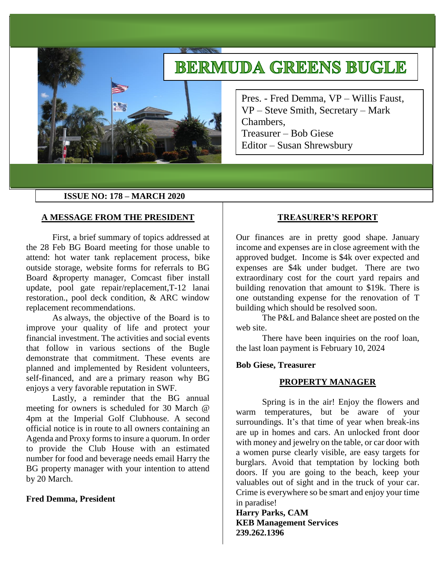# **BERMUDA GREENS BUGLE**

Pres. - Fred Demma, VP – Willis Faust, VP – Steve Smith, Secretary – Mark Chambers, Treasurer – Bob Giese Editor – Susan Shrewsbury

## **ISSUE NO: 178 – MARCH 2020**

#### **A MESSAGE FROM THE PRESIDENT**

First, a brief summary of topics addressed at the 28 Feb BG Board meeting for those unable to attend: hot water tank replacement process, bike outside storage, website forms for referrals to BG Board &property manager, Comcast fiber install update, pool gate repair/replacement,T-12 lanai restoration., pool deck condition, & ARC window replacement recommendations.

As always, the objective of the Board is to improve your quality of life and protect your financial investment. The activities and social events that follow in various sections of the Bugle demonstrate that commitment. These events are planned and implemented by Resident volunteers, self-financed, and are a primary reason why BG enjoys a very favorable reputation in SWF.

Lastly, a reminder that the BG annual meeting for owners is scheduled for 30 March @ 4pm at the Imperial Golf Clubhouse. A second official notice is in route to all owners containing an Agenda and Proxy forms to insure a quorum. In order to provide the Club House with an estimated number for food and beverage needs email Harry the BG property manager with your intention to attend by 20 March.

#### **Fred Demma, President**

## **TREASURER'S REPORT**

Our finances are in pretty good shape. January income and expenses are in close agreement with the approved budget. Income is \$4k over expected and expenses are \$4k under budget. There are two extraordinary cost for the court yard repairs and building renovation that amount to \$19k. There is one outstanding expense for the renovation of T building which should be resolved soon.

The P&L and Balance sheet are posted on the web site.

There have been inquiries on the roof loan, the last loan payment is February 10, 2024

## **Bob Giese, Treasurer**

## **PROPERTY MANAGER**

Spring is in the air! Enjoy the flowers and warm temperatures, but be aware of your surroundings. It's that time of year when break-ins are up in homes and cars. An unlocked front door with money and jewelry on the table, or car door with a women purse clearly visible, are easy targets for burglars. Avoid that temptation by locking both doors. If you are going to the beach, keep your valuables out of sight and in the truck of your car. Crime is everywhere so be smart and enjoy your time in paradise!

**Harry Parks, CAM KEB Management Services 239.262.1396**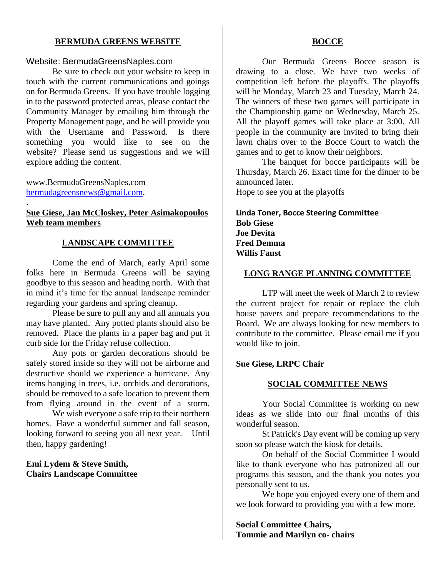## **BERMUDA GREENS WEBSITE**

#### Website: BermudaGreensNaples.com

Be sure to check out your website to keep in touch with the current communications and goings on for Bermuda Greens. If you have trouble logging in to the password protected areas, please contact the Community Manager by emailing him through the Property Management page, and he will provide you with the Username and Password. Is there something you would like to see on the website? Please send us suggestions and we will explore adding the content.

www.BermudaGreensNaples.com [bermudagreensnews@gmail.com.](mailto:bermudagreensnews@gmail.com)

.

## **Sue Giese, Jan McCloskey, Peter Asimakopoulos Web team members**

## **LANDSCAPE COMMITTEE**

Come the end of March, early April some folks here in Bermuda Greens will be saying goodbye to this season and heading north. With that in mind it's time for the annual landscape reminder regarding your gardens and spring cleanup.

Please be sure to pull any and all annuals you may have planted. Any potted plants should also be removed. Place the plants in a paper bag and put it curb side for the Friday refuse collection.

Any pots or garden decorations should be safely stored inside so they will not be airborne and destructive should we experience a hurricane. Any items hanging in trees, i.e. orchids and decorations, should be removed to a safe location to prevent them from flying around in the event of a storm.

We wish everyone a safe trip to their northern homes. Have a wonderful summer and fall season, looking forward to seeing you all next year. Until then, happy gardening!

## **Emi Lydem & Steve Smith, Chairs Landscape Committee**

#### **BOCCE**

Our Bermuda Greens Bocce season is drawing to a close. We have two weeks of competition left before the playoffs. The playoffs will be Monday, March 23 and Tuesday, March 24. The winners of these two games will participate in the Championship game on Wednesday, March 25. All the playoff games will take place at 3:00. All people in the community are invited to bring their lawn chairs over to the Bocce Court to watch the games and to get to know their neighbors.

The banquet for bocce participants will be Thursday, March 26. Exact time for the dinner to be announced later.

Hope to see you at the playoffs

**Linda Toner, Bocce Steering Committee Bob Giese Joe Devita Fred Demma Willis Faust**

## **LONG RANGE PLANNING COMMITTEE**

LTP will meet the week of March 2 to review the current project for repair or replace the club house pavers and prepare recommendations to the Board. We are always looking for new members to contribute to the committee. Please email me if you would like to join.

#### **Sue Giese, LRPC Chair**

#### **SOCIAL COMMITTEE NEWS**

Your Social Committee is working on new ideas as we slide into our final months of this wonderful season.

St Patrick's Day event will be coming up very soon so please watch the kiosk for details.

On behalf of the Social Committee I would like to thank everyone who has patronized all our programs this season, and the thank you notes you personally sent to us.

We hope you enjoyed every one of them and we look forward to providing you with a few more.

**Social Committee Chairs, Tommie and Marilyn co- chairs**